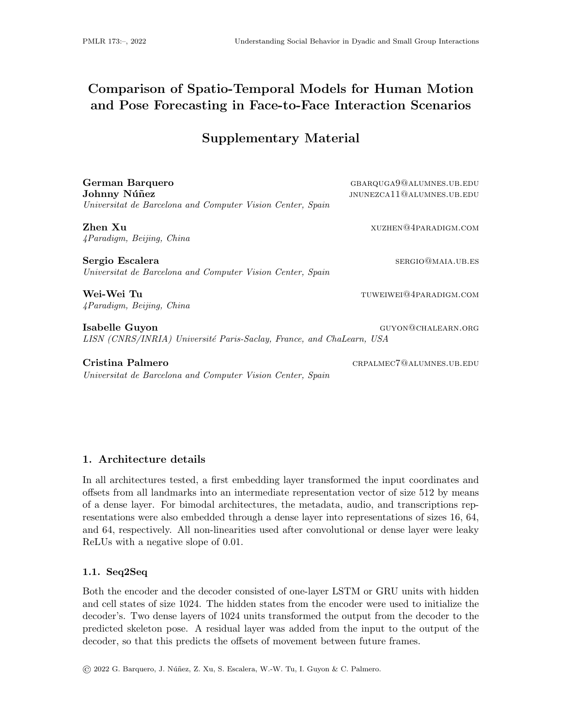# Comparison of Spatio-Temporal Models for Human Motion and Pose Forecasting in Face-to-Face Interaction Scenarios

## Supplementary Material

| German Barquero                                                      | GBARQUGA9@ALUMNES.UB.EDU  |
|----------------------------------------------------------------------|---------------------------|
| Johnny Núñez                                                         | JNUNEZCA11@ALUMNES.UB.EDU |
| Universitat de Barcelona and Computer Vision Center, Spain           |                           |
| Zhen Xu                                                              | XUZHEN@4PARADIGM.COM      |
| 4Paradigm, Beijing, China                                            |                           |
| Sergio Escalera                                                      | SERGIO@MAIA.UB.ES         |
| Universitat de Barcelona and Computer Vision Center, Spain           |                           |
| Wei-Wei Tu                                                           | TUWEIWEI@4PARADIGM.COM    |
| 4Paradigm, Beijing, China                                            |                           |
| Isabelle Guyon                                                       | GUYON@CHALEARN.ORG        |
| LISN (CNRS/INRIA) Université Paris-Saclay, France, and ChaLearn, USA |                           |
| Cristina Palmero                                                     | CRPALMEC7@ALUMNES.UB.EDU  |
| Universitat de Barcelona and Computer Vision Center, Spain           |                           |
|                                                                      |                           |

### 1. Architecture details

In all architectures tested, a first embedding layer transformed the input coordinates and offsets from all landmarks into an intermediate representation vector of size 512 by means of a dense layer. For bimodal architectures, the metadata, audio, and transcriptions representations were also embedded through a dense layer into representations of sizes 16, 64, and 64, respectively. All non-linearities used after convolutional or dense layer were leaky ReLUs with a negative slope of 0.01.

#### 1.1. Seq2Seq

Both the encoder and the decoder consisted of one-layer LSTM or GRU units with hidden and cell states of size 1024. The hidden states from the encoder were used to initialize the decoder's. Two dense layers of 1024 units transformed the output from the decoder to the predicted skeleton pose. A residual layer was added from the input to the output of the decoder, so that this predicts the offsets of movement between future frames.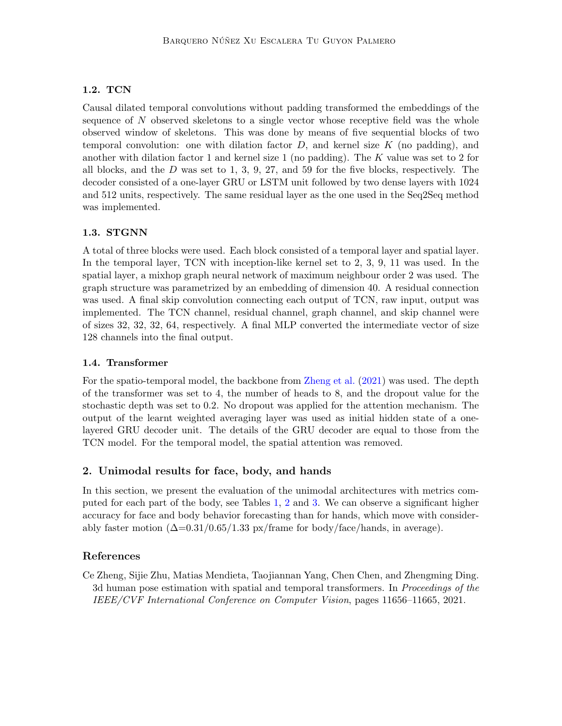#### 1.2. TCN

Causal dilated temporal convolutions without padding transformed the embeddings of the sequence of  $N$  observed skeletons to a single vector whose receptive field was the whole observed window of skeletons. This was done by means of five sequential blocks of two temporal convolution: one with dilation factor  $D$ , and kernel size  $K$  (no padding), and another with dilation factor 1 and kernel size 1 (no padding). The K value was set to 2 for all blocks, and the  $D$  was set to 1, 3, 9, 27, and 59 for the five blocks, respectively. The decoder consisted of a one-layer GRU or LSTM unit followed by two dense layers with 1024 and 512 units, respectively. The same residual layer as the one used in the Seq2Seq method was implemented.

#### 1.3. STGNN

A total of three blocks were used. Each block consisted of a temporal layer and spatial layer. In the temporal layer, TCN with inception-like kernel set to 2, 3, 9, 11 was used. In the spatial layer, a mixhop graph neural network of maximum neighbour order 2 was used. The graph structure was parametrized by an embedding of dimension 40. A residual connection was used. A final skip convolution connecting each output of TCN, raw input, output was implemented. The TCN channel, residual channel, graph channel, and skip channel were of sizes 32, 32, 32, 64, respectively. A final MLP converted the intermediate vector of size 128 channels into the final output.

#### 1.4. Transformer

For the spatio-temporal model, the backbone from [Zheng et al.](#page-1-0) [\(2021\)](#page-1-0) was used. The depth of the transformer was set to 4, the number of heads to 8, and the dropout value for the stochastic depth was set to 0.2. No dropout was applied for the attention mechanism. The output of the learnt weighted averaging layer was used as initial hidden state of a onelayered GRU decoder unit. The details of the GRU decoder are equal to those from the TCN model. For the temporal model, the spatial attention was removed.

#### 2. Unimodal results for face, body, and hands

In this section, we present the evaluation of the unimodal architectures with metrics computed for each part of the body, see Tables [1,](#page-2-0) [2](#page-2-1) and [3.](#page-3-0) We can observe a significant higher accuracy for face and body behavior forecasting than for hands, which move with considerably faster motion  $(\Delta=0.31/0.65/1.33 \text{ px}/\text{frame}$  for body/face/hands, in average).

#### References

<span id="page-1-0"></span>Ce Zheng, Sijie Zhu, Matias Mendieta, Taojiannan Yang, Chen Chen, and Zhengming Ding. 3d human pose estimation with spatial and temporal transformers. In Proceedings of the IEEE/CVF International Conference on Computer Vision, pages 11656–11665, 2021.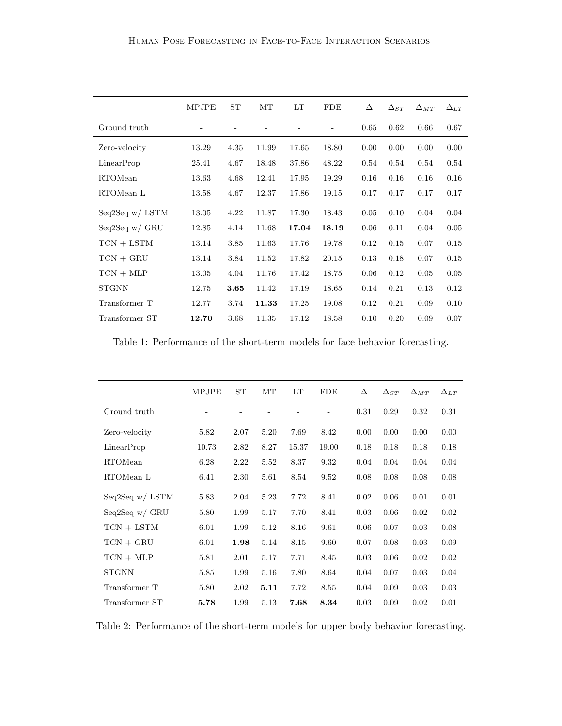|                      | MPJPE | ST   | MТ    | LT    | <b>FDE</b> | Δ    | $\Delta_{ST}$ | $\Delta_{MT}$ | $\Delta_{LT}$ |
|----------------------|-------|------|-------|-------|------------|------|---------------|---------------|---------------|
| Ground truth         |       |      |       |       |            | 0.65 | 0.62          | 0.66          | 0.67          |
| Zero-velocity        | 13.29 | 4.35 | 11.99 | 17.65 | 18.80      | 0.00 | 0.00          | 0.00          | 0.00          |
| LinearProp           | 25.41 | 4.67 | 18.48 | 37.86 | 48.22      | 0.54 | 0.54          | 0.54          | 0.54          |
| RTOMean              | 13.63 | 4.68 | 12.41 | 17.95 | 19.29      | 0.16 | 0.16          | 0.16          | 0.16          |
| RTOMean <sub>L</sub> | 13.58 | 4.67 | 12.37 | 17.86 | 19.15      | 0.17 | 0.17          | 0.17          | 0.17          |
| Seq2Seq $w /$ LSTM   | 13.05 | 4.22 | 11.87 | 17.30 | 18.43      | 0.05 | 0.10          | 0.04          | 0.04          |
| Seq2Seq $w/$ GRU     | 12.85 | 4.14 | 11.68 | 17.04 | 18.19      | 0.06 | 0.11          | 0.04          | 0.05          |
| $TCN + LSTM$         | 13.14 | 3.85 | 11.63 | 17.76 | 19.78      | 0.12 | 0.15          | 0.07          | 0.15          |
| $TCN + GRU$          | 13.14 | 3.84 | 11.52 | 17.82 | 20.15      | 0.13 | 0.18          | 0.07          | 0.15          |
| $TCN + MLP$          | 13.05 | 4.04 | 11.76 | 17.42 | 18.75      | 0.06 | 0.12          | 0.05          | 0.05          |
| <b>STGNN</b>         | 12.75 | 3.65 | 11.42 | 17.19 | 18.65      | 0.14 | 0.21          | 0.13          | 0.12          |
| Transformer_T        | 12.77 | 3.74 | 11.33 | 17.25 | 19.08      | 0.12 | 0.21          | 0.09          | 0.10          |
| Transformer_ST       | 12.70 | 3.68 | 11.35 | 17.12 | 18.58      | 0.10 | 0.20          | 0.09          | 0.07          |

<span id="page-2-0"></span>Table 1: Performance of the short-term models for face behavior forecasting.

|                      | MPJPE | ST   | MТ   | LT    | <b>FDE</b> | Δ    | $\Delta_{ST}$ | $\Delta_{MT}$ | $\Delta_{LT}$ |
|----------------------|-------|------|------|-------|------------|------|---------------|---------------|---------------|
| Ground truth         |       |      |      |       | L          | 0.31 | 0.29          | 0.32          | 0.31          |
| Zero-velocity        | 5.82  | 2.07 | 5.20 | 7.69  | 8.42       | 0.00 | 0.00          | 0.00          | 0.00          |
| LinearProp           | 10.73 | 2.82 | 8.27 | 15.37 | 19.00      | 0.18 | 0.18          | 0.18          | 0.18          |
| RTOMean              | 6.28  | 2.22 | 5.52 | 8.37  | 9.32       | 0.04 | 0.04          | 0.04          | 0.04          |
| RTOMean <sub>L</sub> | 6.41  | 2.30 | 5.61 | 8.54  | 9.52       | 0.08 | 0.08          | 0.08          | 0.08          |
| Seq2Seq $w /$ LSTM   | 5.83  | 2.04 | 5.23 | 7.72  | 8.41       | 0.02 | 0.06          | 0.01          | 0.01          |
| Seq2Seq $w/$ GRU     | 5.80  | 1.99 | 5.17 | 7.70  | 8.41       | 0.03 | 0.06          | 0.02          | 0.02          |
| $TCN + LSTM$         | 6.01  | 1.99 | 5.12 | 8.16  | 9.61       | 0.06 | 0.07          | 0.03          | 0.08          |
| $TCN + GRU$          | 6.01  | 1.98 | 5.14 | 8.15  | 9.60       | 0.07 | 0.08          | 0.03          | 0.09          |
| $TCN + MLP$          | 5.81  | 2.01 | 5.17 | 7.71  | 8.45       | 0.03 | 0.06          | 0.02          | 0.02          |
| <b>STGNN</b>         | 5.85  | 1.99 | 5.16 | 7.80  | 8.64       | 0.04 | 0.07          | 0.03          | 0.04          |
| Transformer_T        | 5.80  | 2.02 | 5.11 | 7.72  | 8.55       | 0.04 | 0.09          | 0.03          | 0.03          |
| Transformer_ST       | 5.78  | 1.99 | 5.13 | 7.68  | 8.34       | 0.03 | 0.09          | 0.02          | 0.01          |

<span id="page-2-1"></span>Table 2: Performance of the short-term models for upper body behavior forecasting.